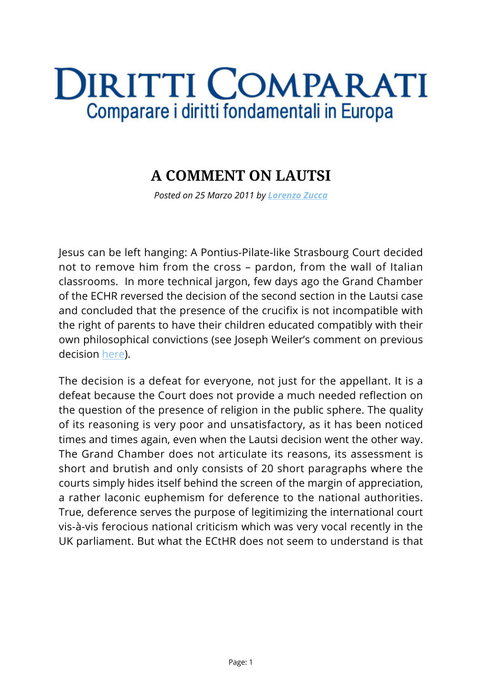## **DIRITTI COMPARATI** Comparare i diritti fondamentali in Europa

## **A COMMENT ON LAUTSI**

*Posted on 25 Marzo 2011 by [Lorenzo Zucca](https://www.diritticomparati.it/autore/lorenzo-zucca/)*

Jesus can be left hanging: A Pontius-Pilate-like Strasbourg Court decided not to remove him from the cross – pardon, from the wall of Italian classrooms. In more technical jargon, few days ago the Grand Chamber of the ECHR reversed the decision of the second section in the Lautsi case and concluded that the presence of the crucifix is not incompatible with the right of parents to have their children educated compatibly with their own philosophical convictions (see Joseph Weiler's comment on previous decision [here\)](http://www.ejiltalk.org/lautsi-crucifix-in-the-classroom-redux/).

The decision is a defeat for everyone, not just for the appellant. It is a defeat because the Court does not provide a much needed reflection on the question of the presence of religion in the public sphere. The quality of its reasoning is very poor and unsatisfactory, as it has been noticed times and times again, even when the Lautsi decision went the other way. The Grand Chamber does not articulate its reasons, its assessment is short and brutish and only consists of 20 short paragraphs where the courts simply hides itself behind the screen of the margin of appreciation, a rather laconic euphemism for deference to the national authorities. True, deference serves the purpose of legitimizing the international court vis-à-vis ferocious national criticism which was very vocal recently in the UK parliament. But what the ECtHR does not seem to understand is that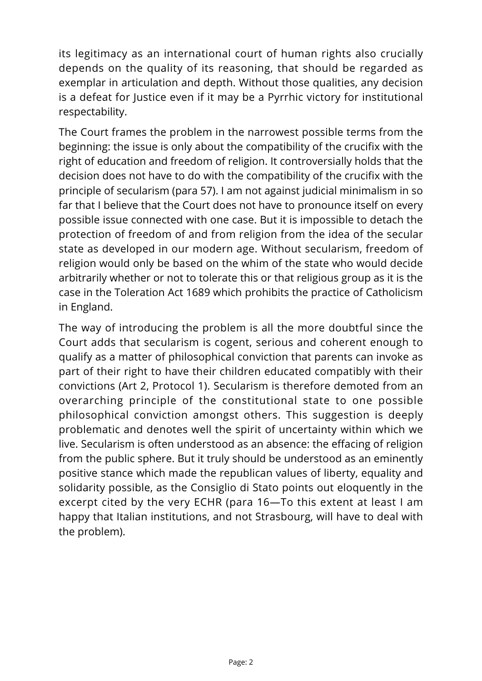its legitimacy as an international court of human rights also crucially depends on the quality of its reasoning, that should be regarded as exemplar in articulation and depth. Without those qualities, any decision is a defeat for Justice even if it may be a Pyrrhic victory for institutional respectability.

The Court frames the problem in the narrowest possible terms from the beginning: the issue is only about the compatibility of the crucifix with the right of education and freedom of religion. It controversially holds that the decision does not have to do with the compatibility of the crucifix with the principle of secularism (para 57). I am not against judicial minimalism in so far that I believe that the Court does not have to pronounce itself on every possible issue connected with one case. But it is impossible to detach the protection of freedom of and from religion from the idea of the secular state as developed in our modern age. Without secularism, freedom of religion would only be based on the whim of the state who would decide arbitrarily whether or not to tolerate this or that religious group as it is the case in the Toleration Act 1689 which prohibits the practice of Catholicism in England.

The way of introducing the problem is all the more doubtful since the Court adds that secularism is cogent, serious and coherent enough to qualify as a matter of philosophical conviction that parents can invoke as part of their right to have their children educated compatibly with their convictions (Art 2, Protocol 1). Secularism is therefore demoted from an overarching principle of the constitutional state to one possible philosophical conviction amongst others. This suggestion is deeply problematic and denotes well the spirit of uncertainty within which we live. Secularism is often understood as an absence: the effacing of religion from the public sphere. But it truly should be understood as an eminently positive stance which made the republican values of liberty, equality and solidarity possible, as the Consiglio di Stato points out eloquently in the excerpt cited by the very ECHR (para 16—To this extent at least I am happy that Italian institutions, and not Strasbourg, will have to deal with the problem).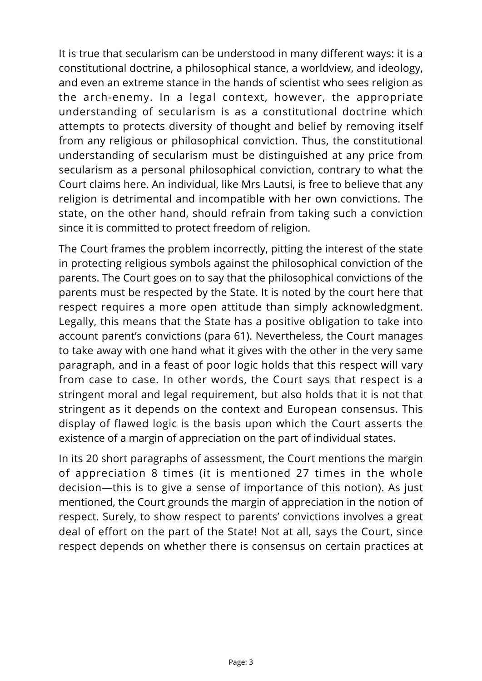It is true that secularism can be understood in many different ways: it is a constitutional doctrine, a philosophical stance, a worldview, and ideology, and even an extreme stance in the hands of scientist who sees religion as the arch-enemy. In a legal context, however, the appropriate understanding of secularism is as a constitutional doctrine which attempts to protects diversity of thought and belief by removing itself from any religious or philosophical conviction. Thus, the constitutional understanding of secularism must be distinguished at any price from secularism as a personal philosophical conviction, contrary to what the Court claims here. An individual, like Mrs Lautsi, is free to believe that any religion is detrimental and incompatible with her own convictions. The state, on the other hand, should refrain from taking such a conviction since it is committed to protect freedom of religion.

The Court frames the problem incorrectly, pitting the interest of the state in protecting religious symbols against the philosophical conviction of the parents. The Court goes on to say that the philosophical convictions of the parents must be respected by the State. It is noted by the court here that respect requires a more open attitude than simply acknowledgment. Legally, this means that the State has a positive obligation to take into account parent's convictions (para 61). Nevertheless, the Court manages to take away with one hand what it gives with the other in the very same paragraph, and in a feast of poor logic holds that this respect will vary from case to case. In other words, the Court says that respect is a stringent moral and legal requirement, but also holds that it is not that stringent as it depends on the context and European consensus. This display of flawed logic is the basis upon which the Court asserts the existence of a margin of appreciation on the part of individual states.

In its 20 short paragraphs of assessment, the Court mentions the margin of appreciation 8 times (it is mentioned 27 times in the whole decision—this is to give a sense of importance of this notion). As just mentioned, the Court grounds the margin of appreciation in the notion of respect. Surely, to show respect to parents' convictions involves a great deal of effort on the part of the State! Not at all, says the Court, since respect depends on whether there is consensus on certain practices at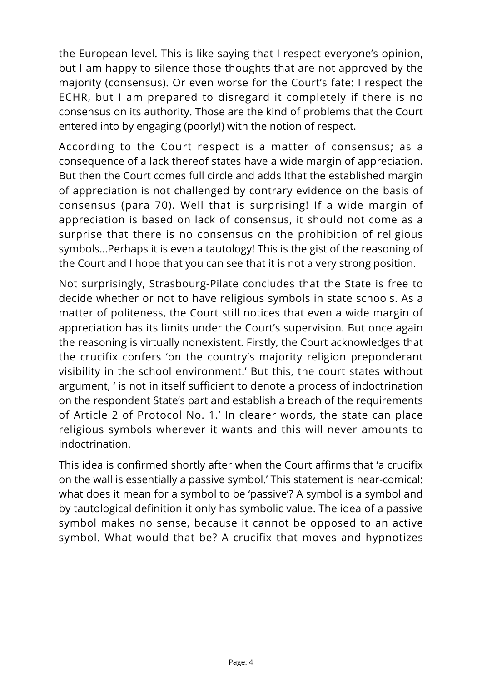the European level. This is like saying that I respect everyone's opinion, but I am happy to silence those thoughts that are not approved by the majority (consensus). Or even worse for the Court's fate: I respect the ECHR, but I am prepared to disregard it completely if there is no consensus on its authority. Those are the kind of problems that the Court entered into by engaging (poorly!) with the notion of respect.

According to the Court respect is a matter of consensus; as a consequence of a lack thereof states have a wide margin of appreciation. But then the Court comes full circle and adds lthat the established margin of appreciation is not challenged by contrary evidence on the basis of consensus (para 70). Well that is surprising! If a wide margin of appreciation is based on lack of consensus, it should not come as a surprise that there is no consensus on the prohibition of religious symbols…Perhaps it is even a tautology! This is the gist of the reasoning of the Court and I hope that you can see that it is not a very strong position.

Not surprisingly, Strasbourg-Pilate concludes that the State is free to decide whether or not to have religious symbols in state schools. As a matter of politeness, the Court still notices that even a wide margin of appreciation has its limits under the Court's supervision. But once again the reasoning is virtually nonexistent. Firstly, the Court acknowledges that the crucifix confers 'on the country's majority religion preponderant visibility in the school environment.' But this, the court states without argument, ' is not in itself sufficient to denote a process of indoctrination on the respondent State's part and establish a breach of the requirements of Article 2 of Protocol No. 1.' In clearer words, the state can place religious symbols wherever it wants and this will never amounts to indoctrination.

This idea is confirmed shortly after when the Court affirms that 'a crucifix on the wall is essentially a passive symbol.' This statement is near-comical: what does it mean for a symbol to be 'passive'? A symbol is a symbol and by tautological definition it only has symbolic value. The idea of a passive symbol makes no sense, because it cannot be opposed to an active symbol. What would that be? A crucifix that moves and hypnotizes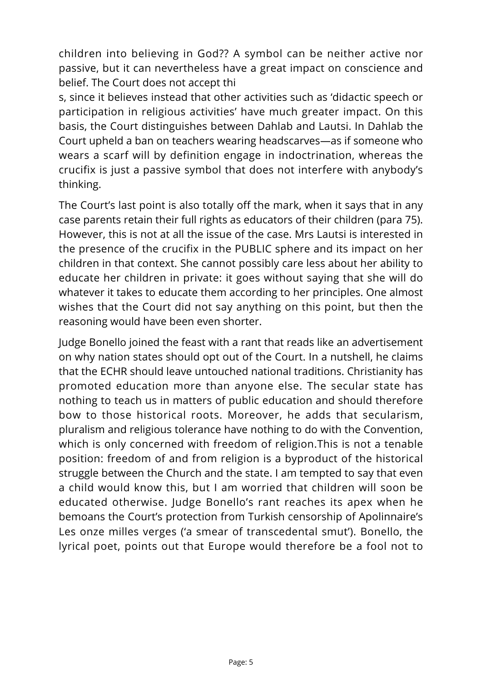children into believing in God?? A symbol can be neither active nor passive, but it can nevertheless have a great impact on conscience and belief. The Court does not accept thi

s, since it believes instead that other activities such as 'didactic speech or participation in religious activities' have much greater impact. On this basis, the Court distinguishes between Dahlab and Lautsi. In Dahlab the Court upheld a ban on teachers wearing headscarves—as if someone who wears a scarf will by definition engage in indoctrination, whereas the crucifix is just a passive symbol that does not interfere with anybody's thinking.

The Court's last point is also totally off the mark, when it says that in any case parents retain their full rights as educators of their children (para 75). However, this is not at all the issue of the case. Mrs Lautsi is interested in the presence of the crucifix in the PUBLIC sphere and its impact on her children in that context. She cannot possibly care less about her ability to educate her children in private: it goes without saying that she will do whatever it takes to educate them according to her principles. One almost wishes that the Court did not say anything on this point, but then the reasoning would have been even shorter.

Judge Bonello joined the feast with a rant that reads like an advertisement on why nation states should opt out of the Court. In a nutshell, he claims that the ECHR should leave untouched national traditions. Christianity has promoted education more than anyone else. The secular state has nothing to teach us in matters of public education and should therefore bow to those historical roots. Moreover, he adds that secularism, pluralism and religious tolerance have nothing to do with the Convention, which is only concerned with freedom of religion.This is not a tenable position: freedom of and from religion is a byproduct of the historical struggle between the Church and the state. I am tempted to say that even a child would know this, but I am worried that children will soon be educated otherwise. Judge Bonello's rant reaches its apex when he bemoans the Court's protection from Turkish censorship of Apolinnaire's Les onze milles verges ('a smear of transcedental smut'). Bonello, the lyrical poet, points out that Europe would therefore be a fool not to